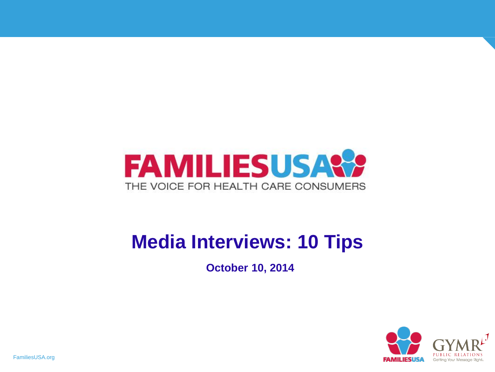

#### **Media Interviews: 10 Tips**

**October 10, 2014**

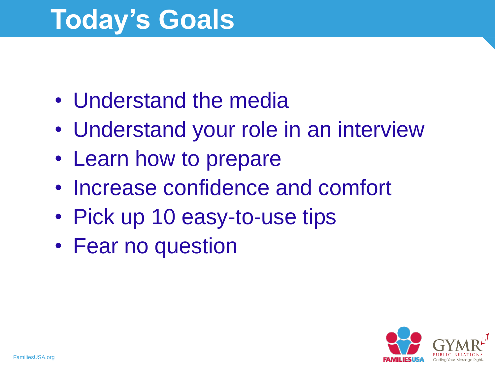### **Today's Goals**

- Understand the media
- Understand your role in an interview
- Learn how to prepare
- Increase confidence and comfort
- Pick up 10 easy-to-use tips
- Fear no question

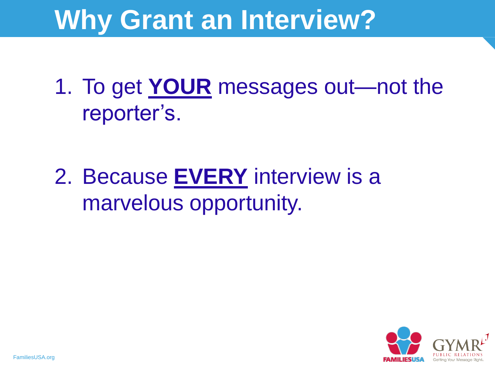#### **Why Grant an Interview?**

1. To get **YOUR** messages out—not the reporter's.

2. Because **EVERY** interview is a marvelous opportunity.

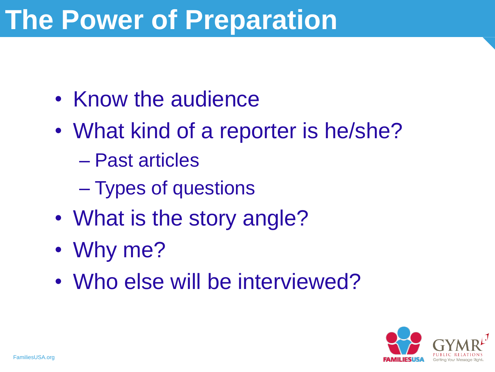### **The Power of Preparation**

- Know the audience
- What kind of a reporter is he/she?
	- Past articles
	- Types of questions
- What is the story angle?
- Why me?
- Who else will be interviewed?

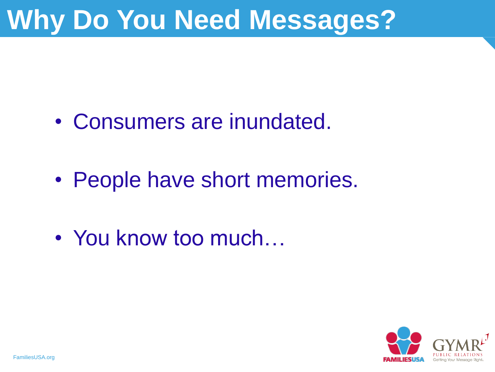#### **Why Do You Need Messages?**

- Consumers are inundated.
- People have short memories.
- You know too much...

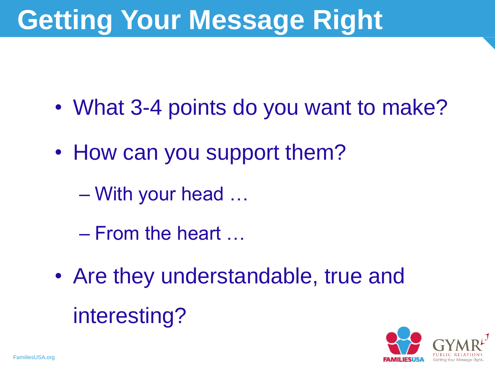### **Getting Your Message Right**

- What 3-4 points do you want to make?
- How can you support them?
	- With your head …
	- From the heart …
- Are they understandable, true and interesting?

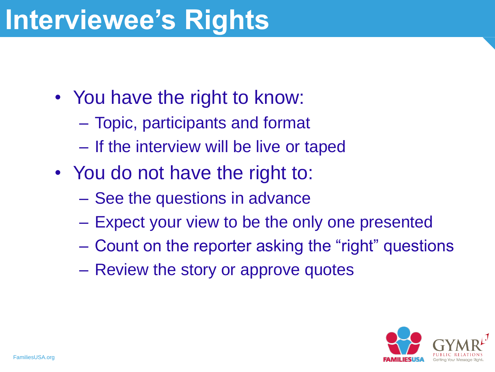#### **Interviewee's Rights**

- You have the right to know:
	- Topic, participants and format
	- If the interview will be live or taped
- You do not have the right to:
	- See the questions in advance
	- Expect your view to be the only one presented
	- Count on the reporter asking the "right" questions
	- Review the story or approve quotes

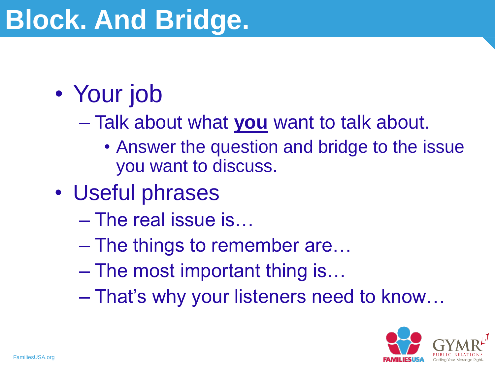#### • Your job

- Talk about what **you** want to talk about.
	- Answer the question and bridge to the issue you want to discuss.
- Useful phrases
	- The real issue is…
	- The things to remember are…
	- The most important thing is…
	- That's why your listeners need to know…

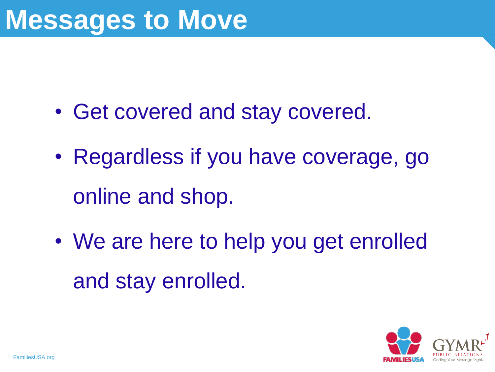- Get covered and stay covered.
- Regardless if you have coverage, go online and shop.
- We are here to help you get enrolled and stay enrolled.

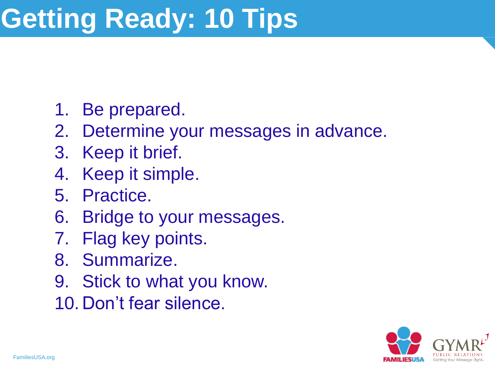## **Getting Ready: 10 Tips**

- 1. Be prepared.
- 2. Determine your messages in advance.
- 3. Keep it brief.
- 4. Keep it simple.
- 5. Practice.
- 6. Bridge to your messages.
- 7. Flag key points.
- 8. Summarize.
- 9. Stick to what you know.
- 10. Don't fear silence.

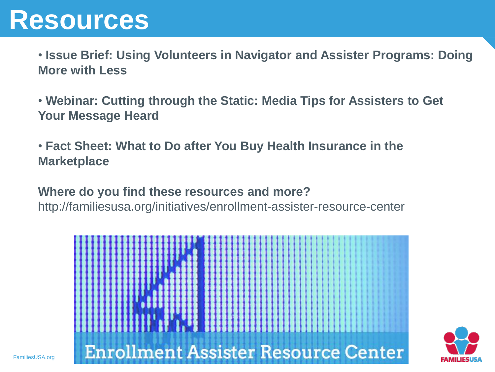#### **Resources**

• **Issue Brief: Using Volunteers in Navigator and Assister Programs: Doing More with Less**

• **Webinar: Cutting through the Static: Media Tips for Assisters to Get Your Message Heard** 

• **Fact Sheet: What to Do after You Buy Health Insurance in the Marketplace**

**Where do you find these resources and more?** 

http://familiesusa.org/initiatives/enrollment-assister-resource-center



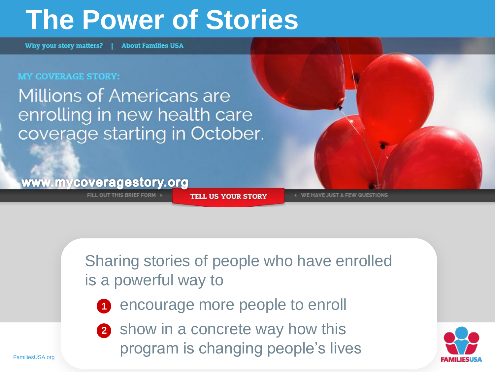#### **The Power of Stories**

Why your story matters? | **About Families USA** 

#### **MY COVERAGE STORY:**

**Millions of Americans are** enrolling in new health care coverage starting in October.

#### www.mycoveragestory.org

FILL OUT THIS BRIEF FORM

**TELL US YOUR STORY** 

**WE HAVE JUST A FEW QUESTIONS** 

Sharing stories of people who have enrolled is a powerful way to

**1** encourage more people to enroll

2 show in a concrete way how this program is changing people's lives